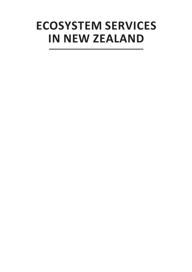# **ECOSYSTEM SERVICES IN NEW ZEALAND**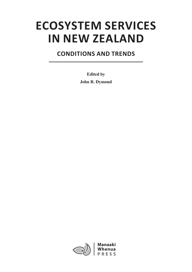# **ECOSYSTEM SERVICES IN NEW ZEALAND**

## **CONDITIONS AND TRENDS**

**Edited by John R. Dymond**

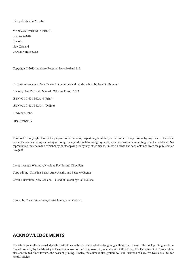#### First published in 2013 by

MANAAKI WHENUA PRESS PO Box 69040 Lincoln New Zealand www.mwpress.co.nz

Copyright © 2013 Landcare Research New Zealand Ltd

Ecosystem services in New Zealand : conditions and trends / edited by John R. Dymond.

Lincoln, New Zealand : Manaaki Whenua Press, c2013.

ISBN 978-0-478-34736-4 (Print)

ISBN 978-0-478-34737-1 (Online)

I.Dymond, John.

UDC: 574(931)

This book is copyright. Except for purposes of fair review, no part may be stored, or transmitted in any form or by any means, electronic or mechanical, including recording or storage in any information storage systems, without permission in writing from the publisher. No reproduction may be made, whether by photocopying, or by any other means, unless a license has been obtained from the publisher or its agent.

Layout: Anouk Wanrooy, Nicolette Faville, and Cissy Pan Copy editing: Christine Bezar, Anne Austin, and Peter McGregor Cover illustration (New Zealand – a land of layers) by Gail Douché

Printed by The Caxton Press, Christchurch, New Zealand

### **ACKNOWLEDGEMENTS**

The editor gratefully acknowledges the institutions in the list of contributors for giving authors time to write. The book printing has been funded primarily by the Ministry of Business Innovation and Employment (under contract C09X0912). The Department of Conservation also contributed funds towards the costs of printing. Finally, the editor is also grateful to Paul Luckman of Creative Decisions Ltd. for helpful advice.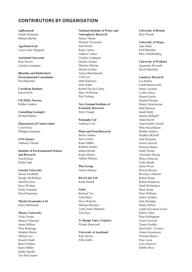## **CONTRIBUTORS BY ORGANISATION**

**AgResearch** Estelle Dominati Barbara Barratt

**AgroParisTech** Laure-Anne Magnard

**Auckland University** Kate Davies Carolyn Lundquist

**Blaschke and Rutherford Environmental Consultants** Paul Blaschke

**Cawthron Institute** David Kelly

**CICERO, Norway** Robbie Andrew

**Consulting Geologist** Richard Barker

**Department of Conservation** Carol West Philippe Gerbeaux

**GNS Science** Anthony Christie

**Institute of Environmental Science and Research** Nicola King Robin Lake

**Lincoln University** Simon Swaffield Wendy McWilliam Geoffrey Kerr Steve Wratten Emily Fountain David Simmons

**Market Economics Ltd** Garry McDonald

#### **Massey University**

Vicky Forgie Murray Patterson James Millner Nick Roskruge Stephen Morris Michael Joy Russell Death Brent Clothier Karin Müller Indika Herath Tim McCreanor

### **National Institute of Water and**

**Atmospheric Research** Simon Thrush Michael Townsend Judi Hewitt Katie Cartner Andrew Lohrer Carolyn Lundquist Dennis Gordon Maurice Duncan Dennis Gordon Alison MacDiarmid Cliff Law Matt Pinkerton John Zeldis Robert Davies-Colley Mary DeWinton Piet Verburg

**New Zealand Institute of Economic Research** Peter Clough

**Pansophy Ltd** Anthony Cole

#### **Plant and Food Research**

Brent Clothier Steve Green Karin Müller Roberta Gentile Indika Herath Karen Mason Allister Holmes

**Plus Group** Alister Holmes

**RiverLake Ltd** Keith Hamill

**Scion**

Richard Yao Luke Barry Steve Wakelin Duncan Harrison Laure-Anne Magnard Tim Payn

**Te Roopu Taio o Utakura** Wendy Henwood

**University of Auckland** Kate Davies John Zeldis

**University of Bristol** Ross Woods

**University of Otago**  Alan Mark Paul Blaschke Marc Schallenberg

**University of Waikato** Jacqueline Rowarth David Hamilton

#### **Landcare Research**

Les Basher Garth Harmsworth Shaun Awatere Lynley Hayes Simon Fowler Quentin Paynter Ronny Groenteman Paul Peterson Sarah Dodd Stanley Bellgard Allan Hewitt Anne-Gaelle Ausseil Miko Kirschbaum Robbie Andrew Stephen McNeill John Dymond Fiona Carswell Norman Mason Emily Weeks Alexander Herzig Robyn Simcock Colin Meurk Susan Wiser Rowan Buxton Beverley Clarkson Robert Hoare Robert Holdaway Sarah Richardson Mark Smale Peter Williams Jackie Aislabie Julie Deslippe Duane Peltzer Linda Newstrom-Lloyd Robert Allen Peter Bellingham Fiona Carswell Tomás Easdale Jacob McC. Overton Alison Greenaway Norman Mason Elise Arnst Larry Burrows Robbie Price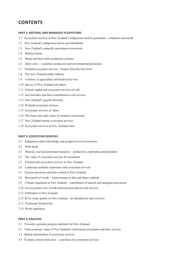## **CONTENTS**

#### **PART 1: NATURAL AND MANAGED ECOSYSTEMS**

- 1.1 Ecosystem services in New Zealand's indigenous tussock grasslands conditions and trends
- 1.2 New Zealand's indigenous forests and shrublands
- 1.3 New Zealand's naturally uncommon ecosystems
- 1.4 Planted forests
- 1.5 Sheep and beef cattle production systems
- 1.6 Dairy cows economic production and environmental protection
- 1.7 Orchard ecosystem services bounty from the fruit bowl
- 1.8 The New Zealand arable industry
- 1.9 A history of agriculture and biodiversity loss
- 1.10 Survey of New Zealand soil orders
- 1.11 Natural capital and ecosystem services of soils
- 1.12 Soil microbes and their contribution to soil services
- 1.13 New Zealand's genetic diversity
- 1.14 Wetland ecosystem services
- 1.15 Ecosystem services of lakes
- 1.16 The many uses and values of estuarine ecosystems
- 1.17 New Zealand marine ecosystem services
- 1.18 Ecosystem services in New Zealand cities

#### **PART 2: ECOSYSTEM SERVICES**

- 2.1 Indigenous māori knowledge and perspectives of ecosystems
- 2.2 Wild foods
- 2.3 Mineral, coal and petroleum resources production, exploration and potential
- 2.4 The value of ecosystem services for recreation
- 2.5 Tourism and ecosystem services in New Zealand
- 2.6 Landscape aesthetic experience and ecosystem services
- 2.7 Erosion processes and their control in New Zealand
- 2.8 Biocontrol of weeds achievements to date and future outlook
- 2.9 Climate regulation in New Zealand contribution of natural and managed ecosystems
- 2.10 An ecosystem view of links between pest species and services
- 2.11 Pollination in New Zealand
- 2.12 River water quality in New Zealand an introduction and overview
- 2.13 Freshwater biodiversity
- 2.14 Water regulation

#### **PART 3: ANALYSIS**

- 3.1 Towards a genuine progress indicator for New Zealand
- 3.2 Total economic value of New Zealand's land-based ecosystems and their services
- 3.3 Spatial optimisation of ecosystem services
- 3.4 St James conservation area a purchase for ecosystem services